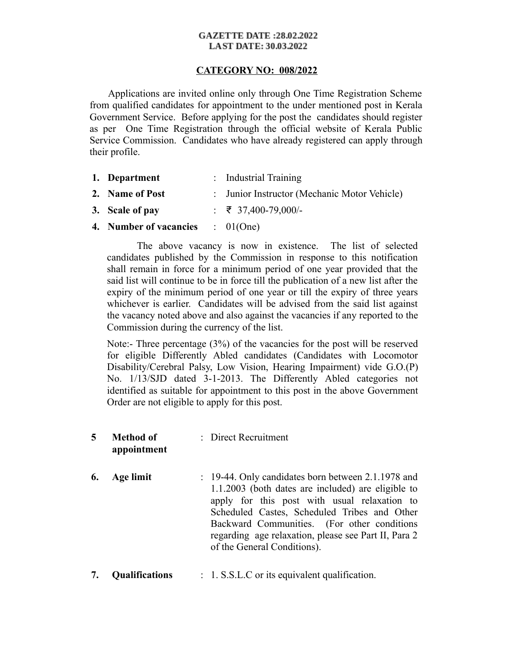## **GAZETTE DATE:28.02.2022 LAST DATE: 30.03.2022**

# **CATEGORY NO: 008/2022**

 Applications are invited online only through One Time Registration Scheme from qualified candidates for appointment to the under mentioned post in Kerala Government Service. Before applying for the post the candidates should register as per One Time Registration through the official website of Kerala Public Service Commission. Candidates who have already registered can apply through their profile.

- **1. Department** : Industrial Training
- **2. Name of Post** : Junior Instructor (Mechanic Motor Vehicle)
- **3. Scale of pay** : ₹ 37,400-79,000/-
- **4. Number of vacancies** : 01(One)

The above vacancy is now in existence. The list of selected candidates published by the Commission in response to this notification shall remain in force for a minimum period of one year provided that the said list will continue to be in force till the publication of a new list after the expiry of the minimum period of one year or till the expiry of three years whichever is earlier. Candidates will be advised from the said list against the vacancy noted above and also against the vacancies if any reported to the Commission during the currency of the list.

Note:- Three percentage (3%) of the vacancies for the post will be reserved for eligible Differently Abled candidates (Candidates with Locomotor Disability/Cerebral Palsy, Low Vision, Hearing Impairment) vide G.O.(P) No. 1/13/SJD dated 3-1-2013. The Differently Abled categories not identified as suitable for appointment to this post in the above Government Order are not eligible to apply for this post.

#### **5 Method of appointment** : Direct Recruitment

- **6. Age limit** : 19-44. Only candidates born between 2.1.1978 and 1.1.2003 (both dates are included) are eligible to apply for this post with usual relaxation to Scheduled Castes, Scheduled Tribes and Other Backward Communities. (For other conditions regarding age relaxation, please see Part II, Para 2 of the General Conditions).
- **7. Qualifications** : 1. S.S.L.C or its equivalent qualification.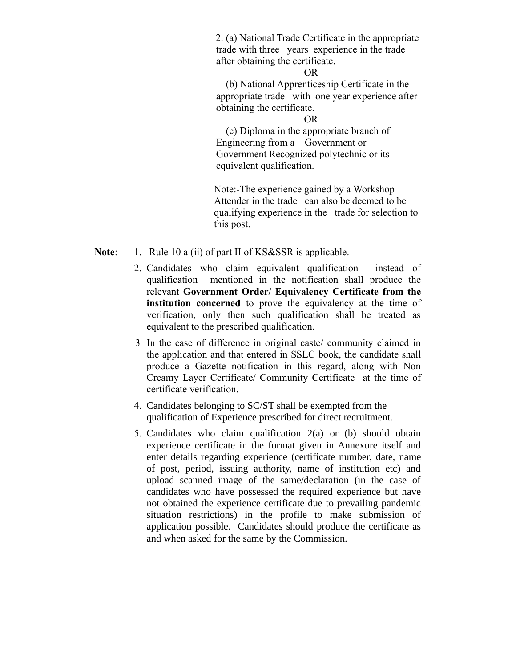2. (a) National Trade Certificate in the appropriate trade with three years experience in the trade after obtaining the certificate.

### OR

 (b) National Apprenticeship Certificate in the appropriate trade with one year experience after obtaining the certificate.

### OR

 (c) Diploma in the appropriate branch of Engineering from a Government or Government Recognized polytechnic or its equivalent qualification.

Note:-The experience gained by a Workshop Attender in the trade can also be deemed to be qualifying experience in the trade for selection to this post.

**Note:** 1. Rule 10 a (ii) of part II of KS&SSR is applicable.

- 2. Candidates who claim equivalent qualification instead of qualification mentioned in the notification shall produce the relevant **Government Order/ Equivalency Certificate from the institution concerned** to prove the equivalency at the time of verification, only then such qualification shall be treated as equivalent to the prescribed qualification.
- 3 In the case of difference in original caste/ community claimed in the application and that entered in SSLC book, the candidate shall produce a Gazette notification in this regard, along with Non Creamy Layer Certificate/ Community Certificate at the time of certificate verification.
- 4. Candidates belonging to SC/ST shall be exempted from the qualification of Experience prescribed for direct recruitment.
- 5. Candidates who claim qualification 2(a) or (b) should obtain experience certificate in the format given in Annexure itself and enter details regarding experience (certificate number, date, name of post, period, issuing authority, name of institution etc) and upload scanned image of the same/declaration (in the case of candidates who have possessed the required experience but have not obtained the experience certificate due to prevailing pandemic situation restrictions) in the profile to make submission of application possible. Candidates should produce the certificate as and when asked for the same by the Commission.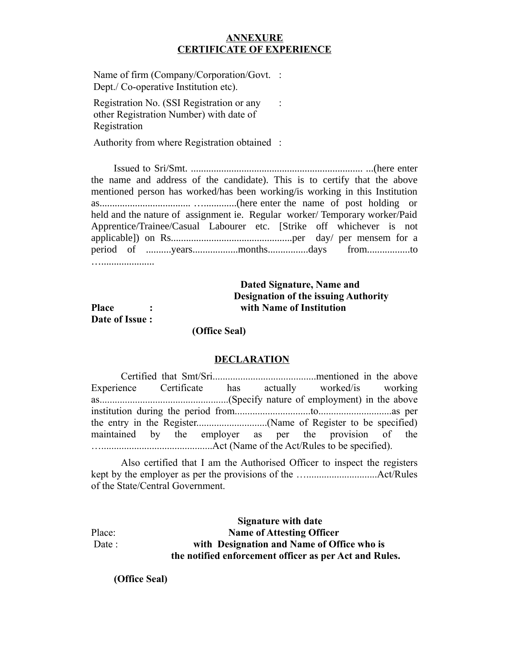# **ANNEXURE CERTIFICATE OF EXPERIENCE**

Name of firm (Company/Corporation/Govt. : Dept./ Co-operative Institution etc).

Registration No. (SSI Registration or any other Registration Number) with date of Registration  $\mathbb{R}^2$ 

Authority from where Registration obtained :

 Issued to Sri/Smt. .................................................................... ...(here enter the name and address of the candidate). This is to certify that the above mentioned person has worked/has been working/is working in this Institution as.................................... ….............(here enter the name of post holding or held and the nature of assignment ie. Regular worker/ Temporary worker/Paid Apprentice/Trainee/Casual Labourer etc. [Strike off whichever is not applicable]) on Rs................................................per day/ per mensem for a period of ..........years..................months................days from.................to ….....................

# **Dated Signature, Name and Designation of the issuing Authority Place : with Name of Institution**

**Date of Issue :**

 **(Office Seal)**

## **DECLARATION**

Certified that Smt/Sri.........................................mentioned in the above Experience Certificate has actually worked/is working as...................................................(Specify nature of employment) in the above institution during the period from..............................to.............................as per the entry in the Register............................(Name of Register to be specified) maintained by the employer as per the provision of the …............................................Act (Name of the Act/Rules to be specified).

Also certified that I am the Authorised Officer to inspect the registers kept by the employer as per the provisions of the …............................Act/Rules of the State/Central Government.

 **Signature with date** Place: **Name of Attesting Officer**  Date : **with Designation and Name of Office who is the notified enforcement officer as per Act and Rules.**

 **(Office Seal)**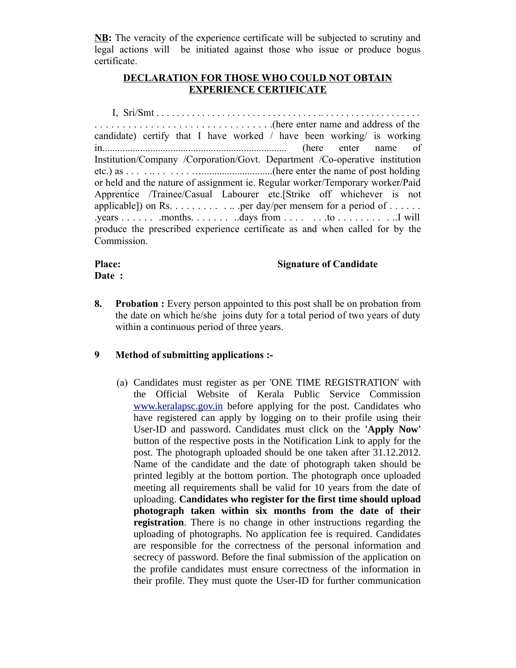**NB:** The veracity of the experience certificate will be subjected to scrutiny and legal actions will be initiated against those who issue or produce bogus certificate.

# **DECLARATION FOR THOSE WHO COULD NOT OBTAIN EXPERIENCE CERTIFICATE**

I, Sri/Smt . . . . . . . . . . . . . . . . . . . . . . . . . . . . . . . . .. . . . . . . . . . . . . . . . . . . . . . . . . . . . . . . . . . . . . . . . . . . . . . . . . . . .(here enter name and address of the candidate) certify that I have worked / have been working/ is working in......................................................................... (here enter name of Institution/Company /Corporation/Govt. Department /Co-operative institution etc.) as . . . . .. . . . . . . …............................(here enter the name of post holding or held and the nature of assignment ie. Regular worker/Temporary worker/Paid Apprentice /Trainee/Casual Labourer etc.[Strike off whichever is not applicable]) on Rs. . . . . . . . . . .. .per day/per mensem for a period of . . . . . . .years . . . . . . .months. . . . . . . ..days from . . . . . . .to . . . . . . . . . ..I will produce the prescribed experience certificate as and when called for by the Commission.

# Date :

# **Place:** Signature of Candidate

**8. Probation :** Every person appointed to this post shall be on probation from the date on which he/she joins duty for a total period of two years of duty within a continuous period of three years.

# **9 Method of submitting applications :-**

(a) Candidates must register as per 'ONE TIME REGISTRATION' with the Official Website of Kerala Public Service Commission [www.keralapsc.gov.in](http://www.kerealapsc.gov.in/) before applying for the post. Candidates who have registered can apply by logging on to their profile using their User-ID and password. Candidates must click on the **'Apply Now'** button of the respective posts in the Notification Link to apply for the post. The photograph uploaded should be one taken after 31.12.2012. Name of the candidate and the date of photograph taken should be printed legibly at the bottom portion. The photograph once uploaded meeting all requirements shall be valid for 10 years from the date of uploading. **Candidates who register for the first time should upload photograph taken within six months from the date of their registration**. There is no change in other instructions regarding the uploading of photographs. No application fee is required. Candidates are responsible for the correctness of the personal information and secrecy of password. Before the final submission of the application on the profile candidates must ensure correctness of the information in their profile. They must quote the User-ID for further communication